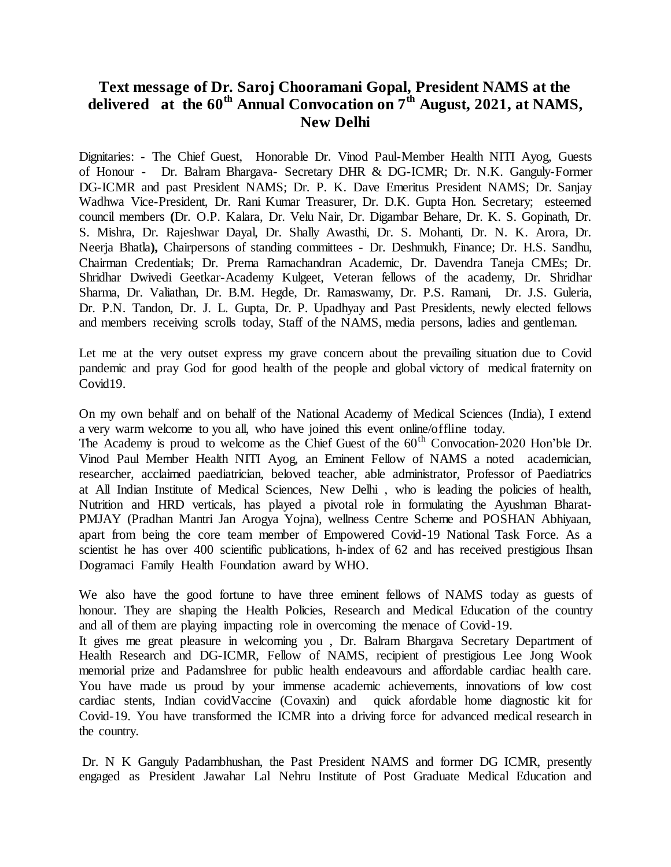## **Text message of Dr. Saroj Chooramani Gopal, President NAMS at the delivered at the 60th Annual Convocation on 7th August, 2021, at NAMS, New Delhi**

Dignitaries: - The Chief Guest, Honorable Dr. Vinod Paul-Member Health NITI Ayog, Guests of Honour - Dr. Balram Bhargava- Secretary DHR & DG-ICMR; Dr. N.K. Ganguly-Former DG-ICMR and past President NAMS; Dr. P. K. Dave Emeritus President NAMS; Dr. Sanjay Wadhwa Vice-President, Dr. Rani Kumar Treasurer, Dr. D.K. Gupta Hon. Secretary; esteemed council members **(**Dr. O.P. Kalara, Dr. Velu Nair, Dr. Digambar Behare, Dr. K. S. Gopinath, Dr. S. Mishra, Dr. Rajeshwar Dayal, Dr. Shally Awasthi, Dr. S. Mohanti, Dr. N. K. Arora, Dr. Neerja Bhatla**),** Chairpersons of standing committees - Dr. Deshmukh, Finance; Dr. H.S. Sandhu, Chairman Credentials; Dr. Prema Ramachandran Academic, Dr. Davendra Taneja CMEs; Dr. Shridhar Dwivedi Geetkar-Academy Kulgeet, Veteran fellows of the academy, Dr. Shridhar Sharma, Dr. Valiathan, Dr. B.M. Hegde, Dr. Ramaswamy, Dr. P.S. Ramani, Dr. J.S. Guleria, Dr. P.N. Tandon, Dr. J. L. Gupta, Dr. P. Upadhyay and Past Presidents, newly elected fellows and members receiving scrolls today, Staff of the NAMS, media persons, ladies and gentleman.

Let me at the very outset express my grave concern about the prevailing situation due to Covid pandemic and pray God for good health of the people and global victory of medical fraternity on Covid19.

On my own behalf and on behalf of the National Academy of Medical Sciences (India), I extend a very warm welcome to you all, who have joined this event online/offline today.

The Academy is proud to welcome as the Chief Guest of the  $60<sup>th</sup>$  Convocation-2020 Hon'ble Dr. Vinod Paul Member Health NITI Ayog, an Eminent Fellow of NAMS a noted academician, researcher, acclaimed paediatrician, beloved teacher, able administrator, Professor of Paediatrics at All Indian Institute of Medical Sciences, New Delhi , who is leading the policies of health, Nutrition and HRD verticals, has played a pivotal role in formulating the Ayushman Bharat-PMJAY (Pradhan Mantri Jan Arogya Yojna), wellness Centre Scheme and POSHAN Abhiyaan, apart from being the core team member of Empowered Covid-19 National Task Force. As a scientist he has over 400 scientific publications, h-index of 62 and has received prestigious Ihsan Dogramaci Family Health Foundation award by WHO.

We also have the good fortune to have three eminent fellows of NAMS today as guests of honour. They are shaping the Health Policies, Research and Medical Education of the country and all of them are playing impacting role in overcoming the menace of Covid-19.

It gives me great pleasure in welcoming you , Dr. Balram Bhargava Secretary Department of Health Research and DG-ICMR, Fellow of NAMS, recipient of prestigious Lee Jong Wook memorial prize and Padamshree for public health endeavours and affordable cardiac health care. You have made us proud by your immense academic achievements, innovations of low cost cardiac stents, Indian covidVaccine (Covaxin) and quick afordable home diagnostic kit for Covid-19. You have transformed the ICMR into a driving force for advanced medical research in the country.

Dr. N K Ganguly Padambhushan, the Past President NAMS and former DG ICMR, presently engaged as President Jawahar Lal Nehru Institute of Post Graduate Medical Education and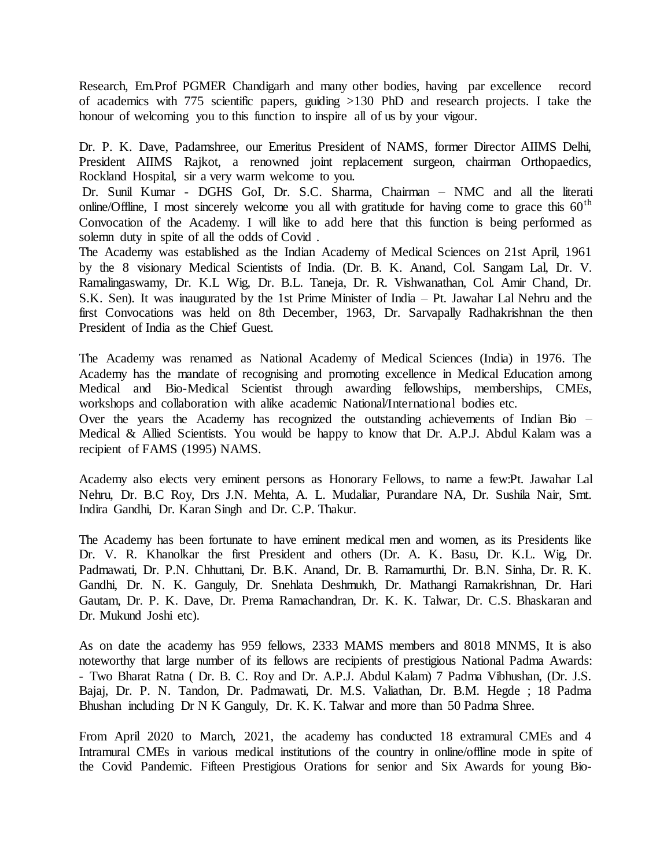Research, Em.Prof PGMER Chandigarh and many other bodies, having par excellence record of academics with 775 scientific papers, guiding >130 PhD and research projects. I take the honour of welcoming you to this function to inspire all of us by your vigour.

Dr. P. K. Dave, Padamshree, our Emeritus President of NAMS, former Director AIIMS Delhi, President AIIMS Rajkot, a renowned joint replacement surgeon, chairman Orthopaedics, Rockland Hospital, sir a very warm welcome to you.

Dr. Sunil Kumar - DGHS GoI, Dr. S.C. Sharma, Chairman – NMC and all the literati online/Offline, I most sincerely welcome you all with gratitude for having come to grace this  $60<sup>th</sup>$ Convocation of the Academy. I will like to add here that this function is being performed as solemn duty in spite of all the odds of Covid .

The Academy was established as the Indian Academy of Medical Sciences on 21st April, 1961 by the 8 visionary Medical Scientists of India. (Dr. B. K. Anand, Col. Sangam Lal, Dr. V. Ramalingaswamy, Dr. K.L Wig, Dr. B.L. Taneja, Dr. R. Vishwanathan, Col. Amir Chand, Dr. S.K. Sen). It was inaugurated by the 1st Prime Minister of India – Pt. Jawahar Lal Nehru and the first Convocations was held on 8th December, 1963, Dr. Sarvapally Radhakrishnan the then President of India as the Chief Guest.

The Academy was renamed as National Academy of Medical Sciences (India) in 1976. The Academy has the mandate of recognising and promoting excellence in Medical Education among Medical and Bio-Medical Scientist through awarding fellowships, memberships, CMEs, workshops and collaboration with alike academic National/International bodies etc.

Over the years the Academy has recognized the outstanding achievements of Indian Bio – Medical & Allied Scientists. You would be happy to know that Dr. A.P.J. Abdul Kalam was a recipient of FAMS (1995) NAMS.

Academy also elects very eminent persons as Honorary Fellows, to name a few:Pt. Jawahar Lal Nehru, Dr. B.C Roy, Drs J.N. Mehta, A. L. Mudaliar, Purandare NA, Dr. Sushila Nair, Smt. Indira Gandhi, Dr. Karan Singh and Dr. C.P. Thakur.

The Academy has been fortunate to have eminent medical men and women, as its Presidents like Dr. V. R. Khanolkar the first President and others (Dr. A. K. Basu, Dr. K.L. Wig, Dr. Padmawati, Dr. P.N. Chhuttani, Dr. B.K. Anand, Dr. B. Ramamurthi, Dr. B.N. Sinha, Dr. R. K. Gandhi, Dr. N. K. Ganguly, Dr. Snehlata Deshmukh, Dr. Mathangi Ramakrishnan, Dr. Hari Gautam, Dr. P. K. Dave, Dr. Prema Ramachandran, Dr. K. K. Talwar, Dr. C.S. Bhaskaran and Dr. Mukund Joshi etc).

As on date the academy has 959 fellows, 2333 MAMS members and 8018 MNMS, It is also noteworthy that large number of its fellows are recipients of prestigious National Padma Awards: - Two Bharat Ratna ( Dr. B. C. Roy and Dr. A.P.J. Abdul Kalam) 7 Padma Vibhushan, (Dr. J.S. Bajaj, Dr. P. N. Tandon, Dr. Padmawati, Dr. M.S. Valiathan, Dr. B.M. Hegde ; 18 Padma Bhushan including Dr N K Ganguly, Dr. K. K. Talwar and more than 50 Padma Shree.

From April 2020 to March, 2021, the academy has conducted 18 extramural CMEs and 4 Intramural CMEs in various medical institutions of the country in online/offline mode in spite of the Covid Pandemic. Fifteen Prestigious Orations for senior and Six Awards for young Bio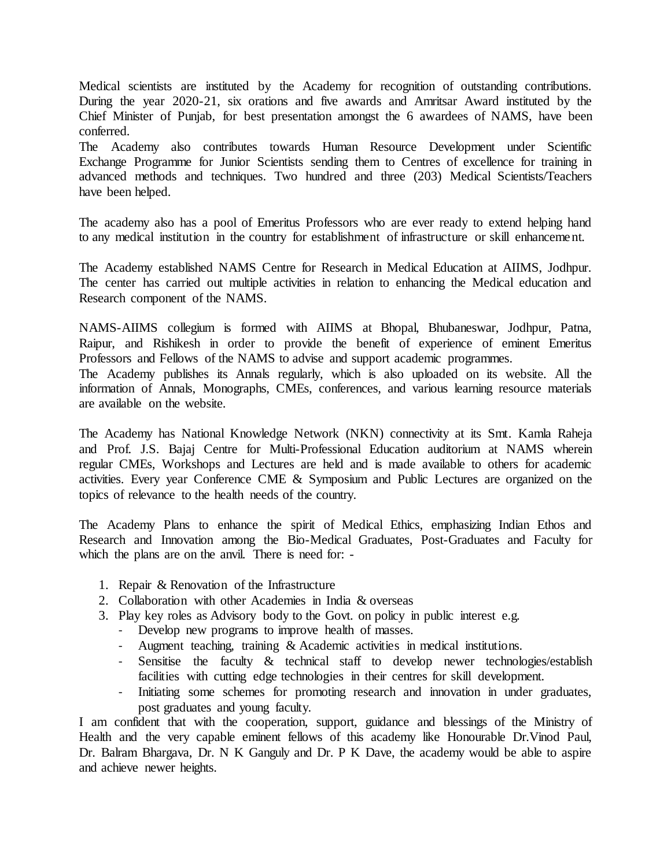Medical scientists are instituted by the Academy for recognition of outstanding contributions. During the year 2020-21, six orations and five awards and Amritsar Award instituted by the Chief Minister of Punjab, for best presentation amongst the 6 awardees of NAMS, have been conferred.

The Academy also contributes towards Human Resource Development under Scientific Exchange Programme for Junior Scientists sending them to Centres of excellence for training in advanced methods and techniques. Two hundred and three (203) Medical Scientists/Teachers have been helped.

The academy also has a pool of Emeritus Professors who are ever ready to extend helping hand to any medical institution in the country for establishment of infrastructure or skill enhancement.

The Academy established NAMS Centre for Research in Medical Education at AIIMS, Jodhpur. The center has carried out multiple activities in relation to enhancing the Medical education and Research component of the NAMS.

NAMS-AIIMS collegium is formed with AIIMS at Bhopal, Bhubaneswar, Jodhpur, Patna, Raipur, and Rishikesh in order to provide the benefit of experience of eminent Emeritus Professors and Fellows of the NAMS to advise and support academic programmes. The Academy publishes its Annals regularly, which is also uploaded on its website. All the information of Annals, Monographs, CMEs, conferences, and various learning resource materials are available on the website.

The Academy has National Knowledge Network (NKN) connectivity at its Smt. Kamla Raheja and Prof. J.S. Bajaj Centre for Multi-Professional Education auditorium at NAMS wherein regular CMEs, Workshops and Lectures are held and is made available to others for academic activities. Every year Conference CME & Symposium and Public Lectures are organized on the topics of relevance to the health needs of the country.

The Academy Plans to enhance the spirit of Medical Ethics, emphasizing Indian Ethos and Research and Innovation among the Bio-Medical Graduates, Post-Graduates and Faculty for which the plans are on the anvil. There is need for: -

- 1. Repair & Renovation of the Infrastructure
- 2. Collaboration with other Academies in India & overseas
- 3. Play key roles as Advisory body to the Govt. on policy in public interest e.g.
	- Develop new programs to improve health of masses.
	- Augment teaching, training & Academic activities in medical institutions.
	- Sensitise the faculty  $\&$  technical staff to develop newer technologies/establish facilities with cutting edge technologies in their centres for skill development.
	- Initiating some schemes for promoting research and innovation in under graduates, post graduates and young faculty.

I am confident that with the cooperation, support, guidance and blessings of the Ministry of Health and the very capable eminent fellows of this academy like Honourable Dr.Vinod Paul, Dr. Balram Bhargava, Dr. N K Ganguly and Dr. P K Dave, the academy would be able to aspire and achieve newer heights.